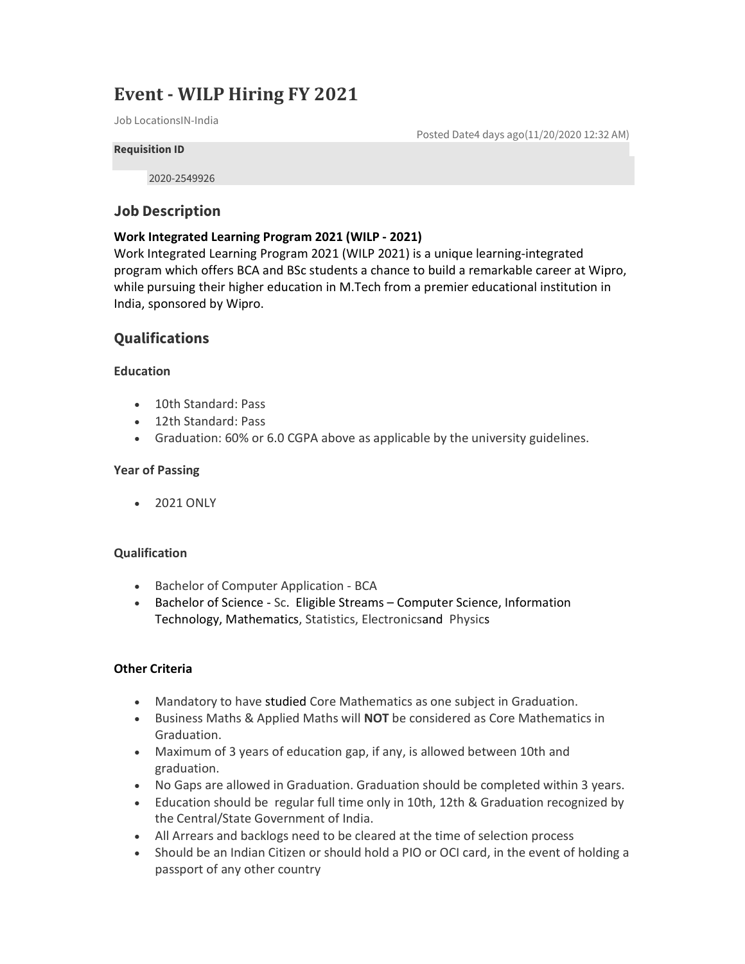# Event - WILP Hiring FY 2021

Job LocationsIN-India

Posted Date4 days ago(11/20/2020 12:32 AM)

#### Requisition ID

2020-2549926

## Job Description

### Work Integrated Learning Program 2021 (WILP - 2021)

Work Integrated Learning Program 2021 (WILP 2021) is a unique learning-integrated program which offers BCA and BSc students a chance to build a remarkable career at Wipro, while pursuing their higher education in M.Tech from a premier educational institution in India, sponsored by Wipro.

# **Qualifications**

#### **Education**

- 10th Standard: Pass
- 12th Standard: Pass
- Graduation: 60% or 6.0 CGPA above as applicable by the university guidelines.

#### Year of Passing

• 2021 ONLY

#### **Qualification**

- Bachelor of Computer Application BCA
- Bachelor of Science Sc. Eligible Streams Computer Science, Information Technology, Mathematics, Statistics, Electronicsand Physics

#### Other Criteria

- Mandatory to have studied Core Mathematics as one subject in Graduation.
- **Business Maths & Applied Maths will NOT be considered as Core Mathematics in** Graduation.
- Maximum of 3 years of education gap, if any, is allowed between 10th and graduation.
- No Gaps are allowed in Graduation. Graduation should be completed within 3 years.
- Education should be regular full time only in 10th, 12th & Graduation recognized by the Central/State Government of India.
- All Arrears and backlogs need to be cleared at the time of selection process
- Should be an Indian Citizen or should hold a PIO or OCI card, in the event of holding a passport of any other country